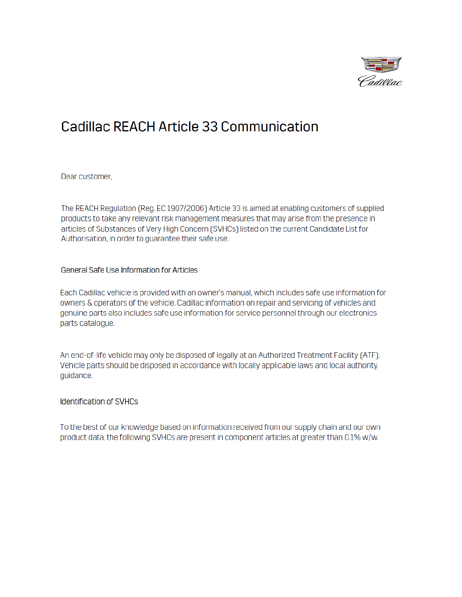

# **Cadillac REACH Article 33 Communication**

Dear customer,

The REACH Regulation (Reg. EC 1907/2006) Article 33 is aimed at enabling customers of supplied products to take any relevant risk management measures that may arise from the presence in articles of Substances of Very High Concern (SVHCs) listed on the current Candidate List for Authorisation, in order to guarantee their safe use.

### General Safe Use Information for Articles

Each Cadillac vehicle is provided with an owner's manual, which includes safe use information for owners & operators of the vehicle. Cadillac information on repair and servicing of vehicles and genuine parts also includes safe use information for service personnel through our electronics parts catalogue.

An end-of-life vehicle may only be disposed of legally at an Authorized Treatment Facility (ATF). Vehicle parts should be disposed in accordance with locally applicable laws and local authority guidance.

#### **Identification of SVHCs**

To the best of our knowledge based on information received from our supply chain and our own product data, the following SVHCs are present in component articles at greater than 0.1% w/w.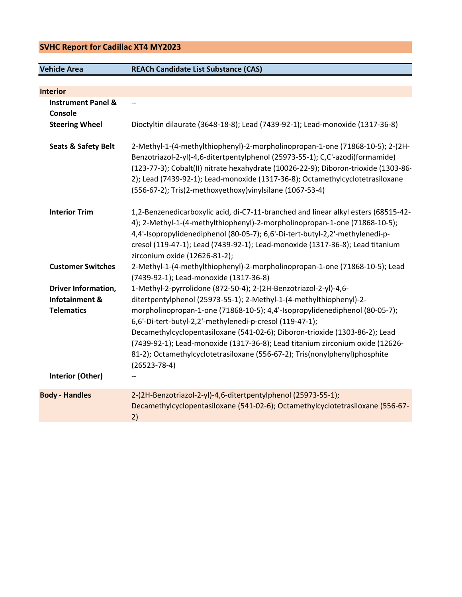## SVHC Report for Cadillac XT4 MY2023

Vehicle Area REACh Candidate List Substance (CAS)

| <b>Interior</b>                |                                                                                                                                                                                                                                                                                                                                                                                                    |
|--------------------------------|----------------------------------------------------------------------------------------------------------------------------------------------------------------------------------------------------------------------------------------------------------------------------------------------------------------------------------------------------------------------------------------------------|
| <b>Instrument Panel &amp;</b>  | $\overline{\phantom{m}}$                                                                                                                                                                                                                                                                                                                                                                           |
| Console                        |                                                                                                                                                                                                                                                                                                                                                                                                    |
| <b>Steering Wheel</b>          | Dioctyltin dilaurate (3648-18-8); Lead (7439-92-1); Lead-monoxide (1317-36-8)                                                                                                                                                                                                                                                                                                                      |
|                                |                                                                                                                                                                                                                                                                                                                                                                                                    |
| <b>Seats &amp; Safety Belt</b> | 2-Methyl-1-(4-methylthiophenyl)-2-morpholinopropan-1-one (71868-10-5); 2-(2H-<br>Benzotriazol-2-yl)-4,6-ditertpentylphenol (25973-55-1); C,C'-azodi(formamide)<br>(123-77-3); Cobalt(II) nitrate hexahydrate (10026-22-9); Diboron-trioxide (1303-86-<br>2); Lead (7439-92-1); Lead-monoxide (1317-36-8); Octamethylcyclotetrasiloxane<br>(556-67-2); Tris(2-methoxyethoxy)vinylsilane (1067-53-4) |
| <b>Interior Trim</b>           | 1,2-Benzenedicarboxylic acid, di-C7-11-branched and linear alkyl esters (68515-42-                                                                                                                                                                                                                                                                                                                 |
|                                | 4); 2-Methyl-1-(4-methylthiophenyl)-2-morpholinopropan-1-one (71868-10-5);                                                                                                                                                                                                                                                                                                                         |
|                                | 4,4'-Isopropylidenediphenol (80-05-7); 6,6'-Di-tert-butyl-2,2'-methylenedi-p-                                                                                                                                                                                                                                                                                                                      |
|                                | cresol (119-47-1); Lead (7439-92-1); Lead-monoxide (1317-36-8); Lead titanium                                                                                                                                                                                                                                                                                                                      |
|                                | zirconium oxide (12626-81-2);                                                                                                                                                                                                                                                                                                                                                                      |
| <b>Customer Switches</b>       | 2-Methyl-1-(4-methylthiophenyl)-2-morpholinopropan-1-one (71868-10-5); Lead                                                                                                                                                                                                                                                                                                                        |
|                                | (7439-92-1); Lead-monoxide (1317-36-8)                                                                                                                                                                                                                                                                                                                                                             |
| <b>Driver Information,</b>     | 1-Methyl-2-pyrrolidone (872-50-4); 2-(2H-Benzotriazol-2-yl)-4,6-                                                                                                                                                                                                                                                                                                                                   |
| Infotainment &                 | ditertpentylphenol (25973-55-1); 2-Methyl-1-(4-methylthiophenyl)-2-                                                                                                                                                                                                                                                                                                                                |
| <b>Telematics</b>              | morpholinopropan-1-one (71868-10-5); 4,4'-Isopropylidenediphenol (80-05-7);                                                                                                                                                                                                                                                                                                                        |
|                                | 6,6'-Di-tert-butyl-2,2'-methylenedi-p-cresol (119-47-1);                                                                                                                                                                                                                                                                                                                                           |
|                                | Decamethylcyclopentasiloxane (541-02-6); Diboron-trioxide (1303-86-2); Lead                                                                                                                                                                                                                                                                                                                        |
|                                | (7439-92-1); Lead-monoxide (1317-36-8); Lead titanium zirconium oxide (12626-                                                                                                                                                                                                                                                                                                                      |
|                                | 81-2); Octamethylcyclotetrasiloxane (556-67-2); Tris(nonylphenyl)phosphite                                                                                                                                                                                                                                                                                                                         |
|                                | $(26523 - 78 - 4)$                                                                                                                                                                                                                                                                                                                                                                                 |
| <b>Interior (Other)</b>        |                                                                                                                                                                                                                                                                                                                                                                                                    |
| <b>Body - Handles</b>          | 2-(2H-Benzotriazol-2-yl)-4,6-ditertpentylphenol (25973-55-1);                                                                                                                                                                                                                                                                                                                                      |
|                                | Decamethylcyclopentasiloxane (541-02-6); Octamethylcyclotetrasiloxane (556-67-                                                                                                                                                                                                                                                                                                                     |
|                                | 2)                                                                                                                                                                                                                                                                                                                                                                                                 |
|                                |                                                                                                                                                                                                                                                                                                                                                                                                    |